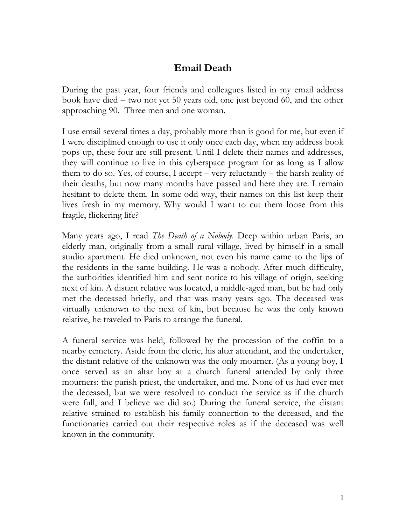## **Email Death**

During the past year, four friends and colleagues listed in my email address book have died – two not yet 50 years old, one just beyond 60, and the other approaching 90. Three men and one woman.

I use email several times a day, probably more than is good for me, but even if I were disciplined enough to use it only once each day, when my address book pops up, these four are still present. Until I delete their names and addresses, they will continue to live in this cyberspace program for as long as I allow them to do so. Yes, of course, I accept – very reluctantly – the harsh reality of their deaths, but now many months have passed and here they are. I remain hesitant to delete them. In some odd way, their names on this list keep their lives fresh in my memory. Why would I want to cut them loose from this fragile, flickering life?

Many years ago, I read *The Death of a Nobody*. Deep within urban Paris, an elderly man, originally from a small rural village, lived by himself in a small studio apartment. He died unknown, not even his name came to the lips of the residents in the same building. He was a nobody. After much difficulty, the authorities identified him and sent notice to his village of origin, seeking next of kin. A distant relative was located, a middle-aged man, but he had only met the deceased briefly, and that was many years ago. The deceased was virtually unknown to the next of kin, but because he was the only known relative, he traveled to Paris to arrange the funeral.

A funeral service was held, followed by the procession of the coffin to a nearby cemetery. Aside from the cleric, his altar attendant, and the undertaker, the distant relative of the unknown was the only mourner. (As a young boy, I once served as an altar boy at a church funeral attended by only three mourners: the parish priest, the undertaker, and me. None of us had ever met the deceased, but we were resolved to conduct the service as if the church were full, and I believe we did so.) During the funeral service, the distant relative strained to establish his family connection to the deceased, and the functionaries carried out their respective roles as if the deceased was well known in the community.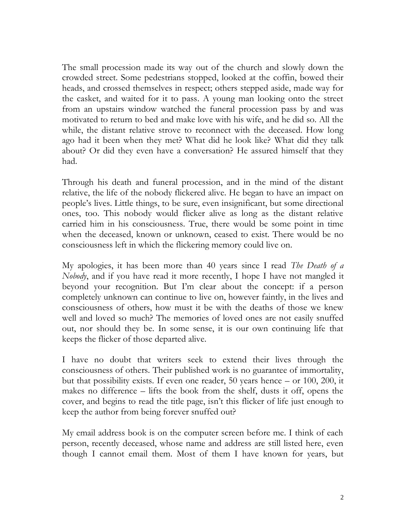The small procession made its way out of the church and slowly down the crowded street. Some pedestrians stopped, looked at the coffin, bowed their heads, and crossed themselves in respect; others stepped aside, made way for the casket, and waited for it to pass. A young man looking onto the street from an upstairs window watched the funeral procession pass by and was motivated to return to bed and make love with his wife, and he did so. All the while, the distant relative strove to reconnect with the deceased. How long ago had it been when they met? What did he look like? What did they talk about? Or did they even have a conversation? He assured himself that they had.

Through his death and funeral procession, and in the mind of the distant relative, the life of the nobody flickered alive. He began to have an impact on people's lives. Little things, to be sure, even insignificant, but some directional ones, too. This nobody would flicker alive as long as the distant relative carried him in his consciousness. True, there would be some point in time when the deceased, known or unknown, ceased to exist. There would be no consciousness left in which the flickering memory could live on.

My apologies, it has been more than 40 years since I read *The Death of a Nobody*, and if you have read it more recently, I hope I have not mangled it beyond your recognition. But I'm clear about the concept: if a person completely unknown can continue to live on, however faintly, in the lives and consciousness of others, how must it be with the deaths of those we knew well and loved so much? The memories of loved ones are not easily snuffed out, nor should they be. In some sense, it is our own continuing life that keeps the flicker of those departed alive.

I have no doubt that writers seek to extend their lives through the consciousness of others. Their published work is no guarantee of immortality, but that possibility exists. If even one reader, 50 years hence – or 100, 200, it makes no difference – lifts the book from the shelf, dusts it off, opens the cover, and begins to read the title page, isn't this flicker of life just enough to keep the author from being forever snuffed out?

My email address book is on the computer screen before me. I think of each person, recently deceased, whose name and address are still listed here, even though I cannot email them. Most of them I have known for years, but